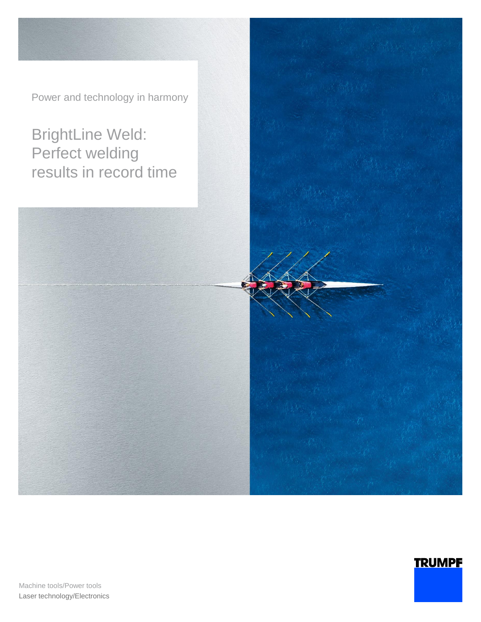Power and technology in harmony

# BrightLine Weld: Perfect welding results in record time



**TRUMPF** 

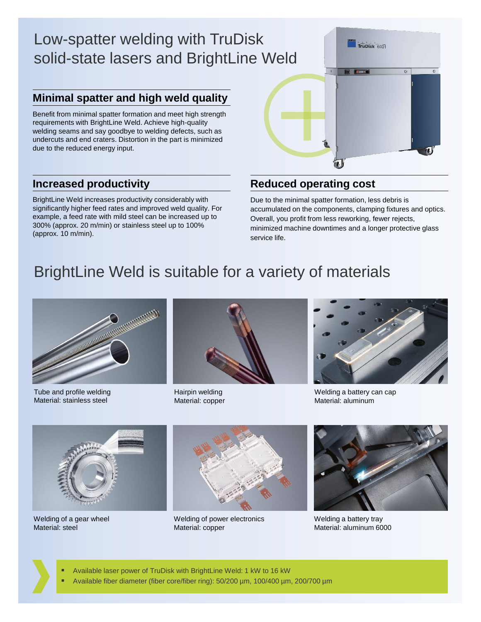# Low-spatter welding with TruDisk solid-state lasers and BrightLine Weld

## **Minimal spatter and high weld quality**

Benefit from minimal spatter formation and meet high strength requirements with BrightLine Weld. Achieve high-quality welding seams and say goodbye to welding defects, such as undercuts and end craters. Distortion in the part is minimized due to the reduced energy input.

#### **Increased productivity**

BrightLine Weld increases productivity considerably with significantly higher feed rates and improved weld quality. For example, a feed rate with mild steel can be increased up to 300% (approx. 20 m/min) or stainless steel up to 100% (approx. 10 m/min).



#### **Reduced operating cost**

Due to the minimal spatter formation, less debris is accumulated on the components, clamping fixtures and optics. Overall, you profit from less reworking, fewer rejects, minimized machine downtimes and a longer protective glass service life.

## BrightLine Weld is suitable for a variety of materials



Tube and profile welding Material: stainless steel



Hairpin welding Material: copper



Welding a battery can cap Material: aluminum



Welding of a gear wheel Material: steel



Welding of power electronics Material: copper



Welding a battery tray Material: aluminum 6000

- Available laser power of TruDisk with BrightLine Weld: 1 kW to 16 kW
- Available fiber diameter (fiber core/fiber ring): 50/200 µm, 100/400 µm, 200/700 µm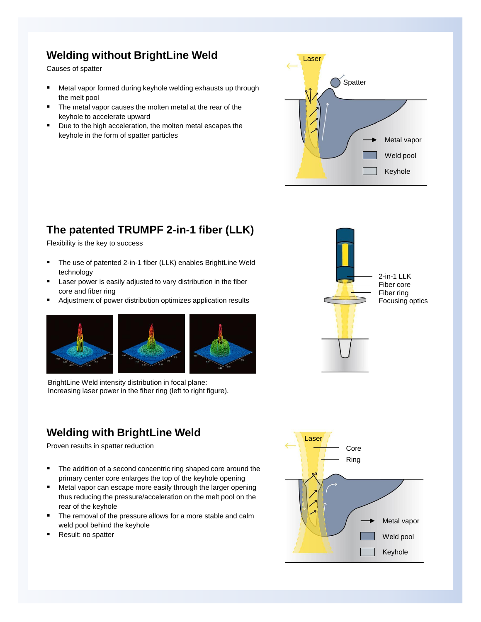## **Welding without BrightLine Weld**

Causes of spatter

- Metal vapor formed during keyhole welding exhausts up through the melt pool
- The metal vapor causes the molten metal at the rear of the keyhole to accelerate upward
- Due to the high acceleration, the molten metal escapes the keyhole in the form of spatter particles



## **The patented TRUMPF 2-in-1 fiber (LLK)**

Flexibility is the key to success

- The use of patented 2-in-1 fiber (LLK) enables BrightLine Weld technology
- Laser power is easily adjusted to vary distribution in the fiber core and fiber ring
- Adjustment of power distribution optimizes application results



BrightLine Weld intensity distribution in focal plane: Increasing laser power in the fiber ring (left to right figure).

## **Welding with BrightLine Weld**

Proven results in spatter reduction

- The addition of a second concentric ring shaped core around the primary center core enlarges the top of the keyhole opening
- Metal vapor can escape more easily through the larger opening thus reducing the pressure/acceleration on the melt pool on the rear of the keyhole
- The removal of the pressure allows for a more stable and calm weld pool behind the keyhole
- Result: no spatter